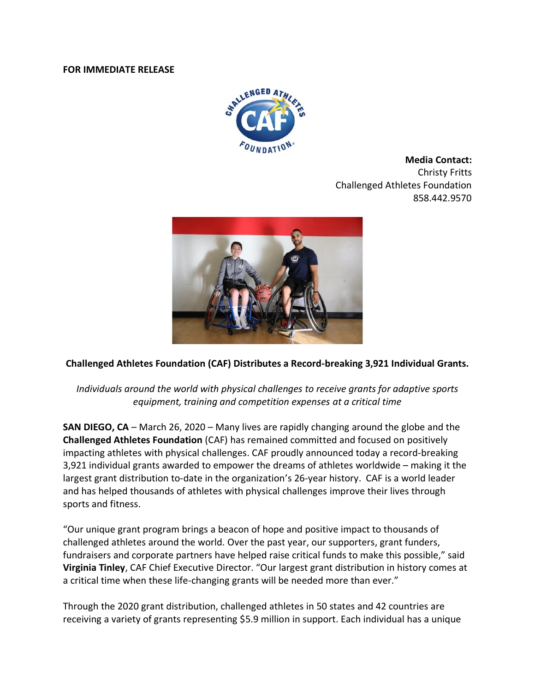#### **FOR IMMEDIATE RELEASE**



**Media Contact:** Christy Fritts Challenged Athletes Foundation 858.442.9570



# **Challenged Athletes Foundation (CAF) Distributes a Record-breaking 3,921 Individual Grants.**

# *Individuals around the world with physical challenges to receive grants for adaptive sports equipment, training and competition expenses at a critical time*

**SAN DIEGO, CA** – March 26, 2020 – Many lives are rapidly changing around the globe and the **Challenged Athletes Foundation** (CAF) has remained committed and focused on positively impacting athletes with physical challenges. CAF proudly announced today a record-breaking 3,921 individual grants awarded to empower the dreams of athletes worldwide – making it the largest grant distribution to-date in the organization's 26-year history. CAF is a world leader and has helped thousands of athletes with physical challenges improve their lives through sports and fitness.

"Our unique grant program brings a beacon of hope and positive impact to thousands of challenged athletes around the world. Over the past year, our supporters, grant funders, fundraisers and corporate partners have helped raise critical funds to make this possible," said **Virginia Tinley**, CAF Chief Executive Director. "Our largest grant distribution in history comes at a critical time when these life-changing grants will be needed more than ever."

Through the 2020 grant distribution, challenged athletes in 50 states and 42 countries are receiving a variety of grants representing \$5.9 million in support. Each individual has a unique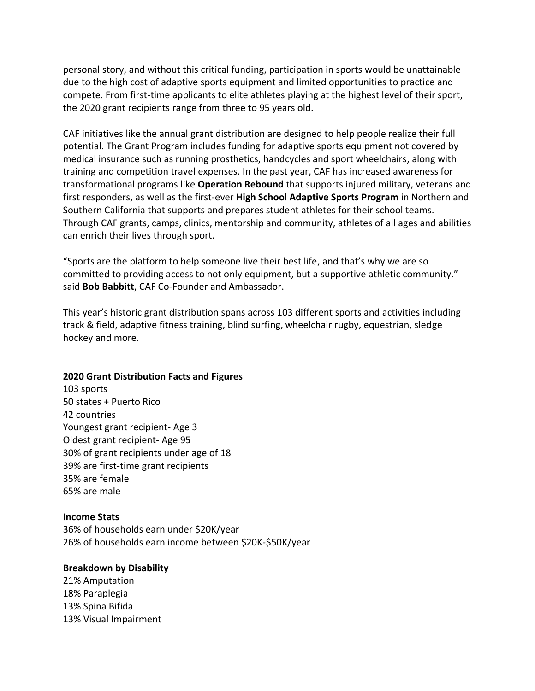personal story, and without this critical funding, participation in sports would be unattainable due to the high cost of adaptive sports equipment and limited opportunities to practice and compete. From first-time applicants to elite athletes playing at the highest level of their sport, the 2020 grant recipients range from three to 95 years old.

CAF initiatives like the annual grant distribution are designed to help people realize their full potential. The Grant Program includes funding for adaptive sports equipment not covered by medical insurance such as running prosthetics, handcycles and sport wheelchairs, along with training and competition travel expenses. In the past year, CAF has increased awareness for transformational programs like **Operation Rebound** that supports injured military, veterans and first responders, as well as the first-ever **High School Adaptive Sports Program** in Northern and Southern California that supports and prepares student athletes for their school teams. Through CAF grants, camps, clinics, mentorship and community, athletes of all ages and abilities can enrich their lives through sport.

"Sports are the platform to help someone live their best life, and that's why we are so committed to providing access to not only equipment, but a supportive athletic community." said **Bob Babbitt**, CAF Co-Founder and Ambassador.

This year's historic grant distribution spans across 103 different sports and activities including track & field, adaptive fitness training, blind surfing, wheelchair rugby, equestrian, sledge hockey and more.

#### **2020 Grant Distribution Facts and Figures**

103 sports 50 states + Puerto Rico 42 countries Youngest grant recipient- Age 3 Oldest grant recipient- Age 95 30% of grant recipients under age of 18 39% are first-time grant recipients 35% are female 65% are male

## **Income Stats**

36% of households earn under \$20K/year 26% of households earn income between \$20K-\$50K/year

#### **Breakdown by Disability**

21% Amputation 18% Paraplegia 13% Spina Bifida 13% Visual Impairment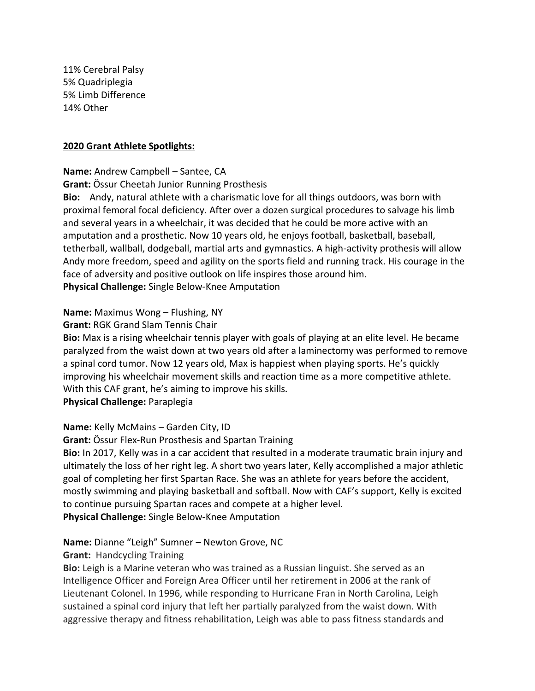11% Cerebral Palsy 5% Quadriplegia 5% Limb Difference 14% Other

#### **2020 Grant Athlete Spotlights:**

#### **Name:** Andrew Campbell – Santee, CA

**Grant:** Össur Cheetah Junior Running Prosthesis

**Bio:** Andy, natural athlete with a charismatic love for all things outdoors, was born with proximal femoral focal deficiency. After over a dozen surgical procedures to salvage his limb and several years in a wheelchair, it was decided that he could be more active with an amputation and a prosthetic. Now 10 years old, he enjoys football, basketball, baseball, tetherball, wallball, dodgeball, martial arts and gymnastics. A high-activity prothesis will allow Andy more freedom, speed and agility on the sports field and running track. His courage in the face of adversity and positive outlook on life inspires those around him. **Physical Challenge:** Single Below-Knee Amputation

#### **Name:** Maximus Wong – Flushing, NY

#### **Grant:** RGK Grand Slam Tennis Chair

**Bio:** Max is a rising wheelchair tennis player with goals of playing at an elite level. He became paralyzed from the waist down at two years old after a laminectomy was performed to remove a spinal cord tumor. Now 12 years old, Max is happiest when playing sports. He's quickly improving his wheelchair movement skills and reaction time as a more competitive athlete. With this CAF grant, he's aiming to improve his skills. **Physical Challenge:** Paraplegia

# **Name:** Kelly McMains – Garden City, ID

**Grant:** Össur Flex-Run Prosthesis and Spartan Training

**Bio:** In 2017, Kelly was in a car accident that resulted in a moderate traumatic brain injury and ultimately the loss of her right leg. A short two years later, Kelly accomplished a major athletic goal of completing her first Spartan Race. She was an athlete for years before the accident, mostly swimming and playing basketball and softball. Now with CAF's support, Kelly is excited to continue pursuing Spartan races and compete at a higher level. **Physical Challenge:** Single Below-Knee Amputation

# **Name:** Dianne "Leigh" Sumner – Newton Grove, NC

## **Grant:** Handcycling Training

**Bio:** Leigh is a Marine veteran who was trained as a Russian linguist. She served as an Intelligence Officer and Foreign Area Officer until her retirement in 2006 at the rank of Lieutenant Colonel. In 1996, while responding to Hurricane Fran in North Carolina, Leigh sustained a spinal cord injury that left her partially paralyzed from the waist down. With aggressive therapy and fitness rehabilitation, Leigh was able to pass fitness standards and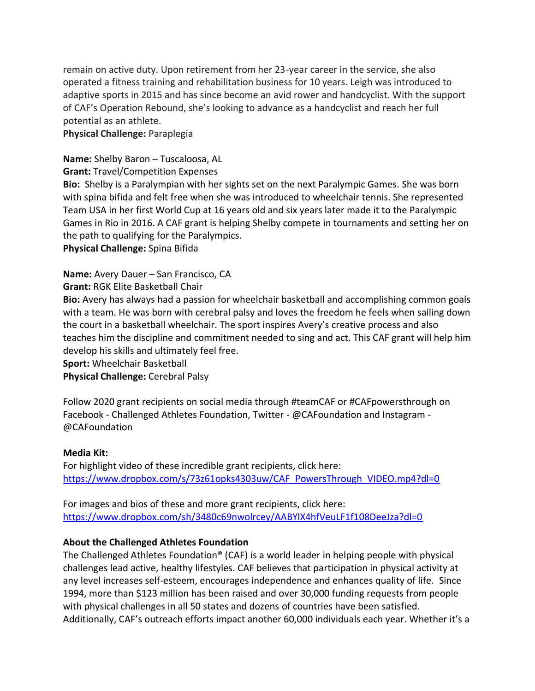remain on active duty. Upon retirement from her 23-year career in the service, she also operated a fitness training and rehabilitation business for 10 years. Leigh was introduced to adaptive sports in 2015 and has since become an avid rower and handcyclist. With the support of CAF's Operation Rebound, she's looking to advance as a handcyclist and reach her full potential as an athlete.

**Physical Challenge:** Paraplegia

## **Name:** Shelby Baron – Tuscaloosa, AL

**Grant:** Travel/Competition Expenses

**Bio:** Shelby is a Paralympian with her sights set on the next Paralympic Games. She was born with spina bifida and felt free when she was introduced to wheelchair tennis. She represented Team USA in her first World Cup at 16 years old and six years later made it to the Paralympic Games in Rio in 2016. A CAF grant is helping Shelby compete in tournaments and setting her on the path to qualifying for the Paralympics.

**Physical Challenge:** Spina Bifida

**Name:** Avery Dauer – San Francisco, CA

**Grant:** RGK Elite Basketball Chair

**Bio:** Avery has always had a passion for wheelchair basketball and accomplishing common goals with a team. He was born with cerebral palsy and loves the freedom he feels when sailing down the court in a basketball wheelchair. The sport inspires Avery's creative process and also teaches him the discipline and commitment needed to sing and act. This CAF grant will help him develop his skills and ultimately feel free.

**Sport:** Wheelchair Basketball

**Physical Challenge:** Cerebral Palsy

Follow 2020 grant recipients on social media through #teamCAF or #CAFpowersthrough on Facebook - Challenged Athletes Foundation, Twitter - @CAFoundation and Instagram - @CAFoundation

## **Media Kit:**

For highlight video of these incredible grant recipients, click here: [https://www.dropbox.com/s/73z61opks4303uw/CAF\\_PowersThrough\\_VIDEO.mp4?dl=0](https://www.dropbox.com/s/73z61opks4303uw/CAF_PowersThrough_VIDEO.mp4?dl=0)

For images and bios of these and more grant recipients, click here: <https://www.dropbox.com/sh/3480c69nwolrcey/AABYlX4hfVeuLF1f108DeeJza?dl=0>

# **About the Challenged Athletes Foundation**

The Challenged Athletes Foundation® (CAF) is a world leader in helping people with physical challenges lead active, healthy lifestyles. CAF believes that participation in physical activity at any level increases self-esteem, encourages independence and enhances quality of life. Since 1994, more than \$123 million has been raised and over 30,000 funding requests from people with physical challenges in all 50 states and dozens of countries have been satisfied. Additionally, CAF's outreach efforts impact another 60,000 individuals each year. Whether it's a